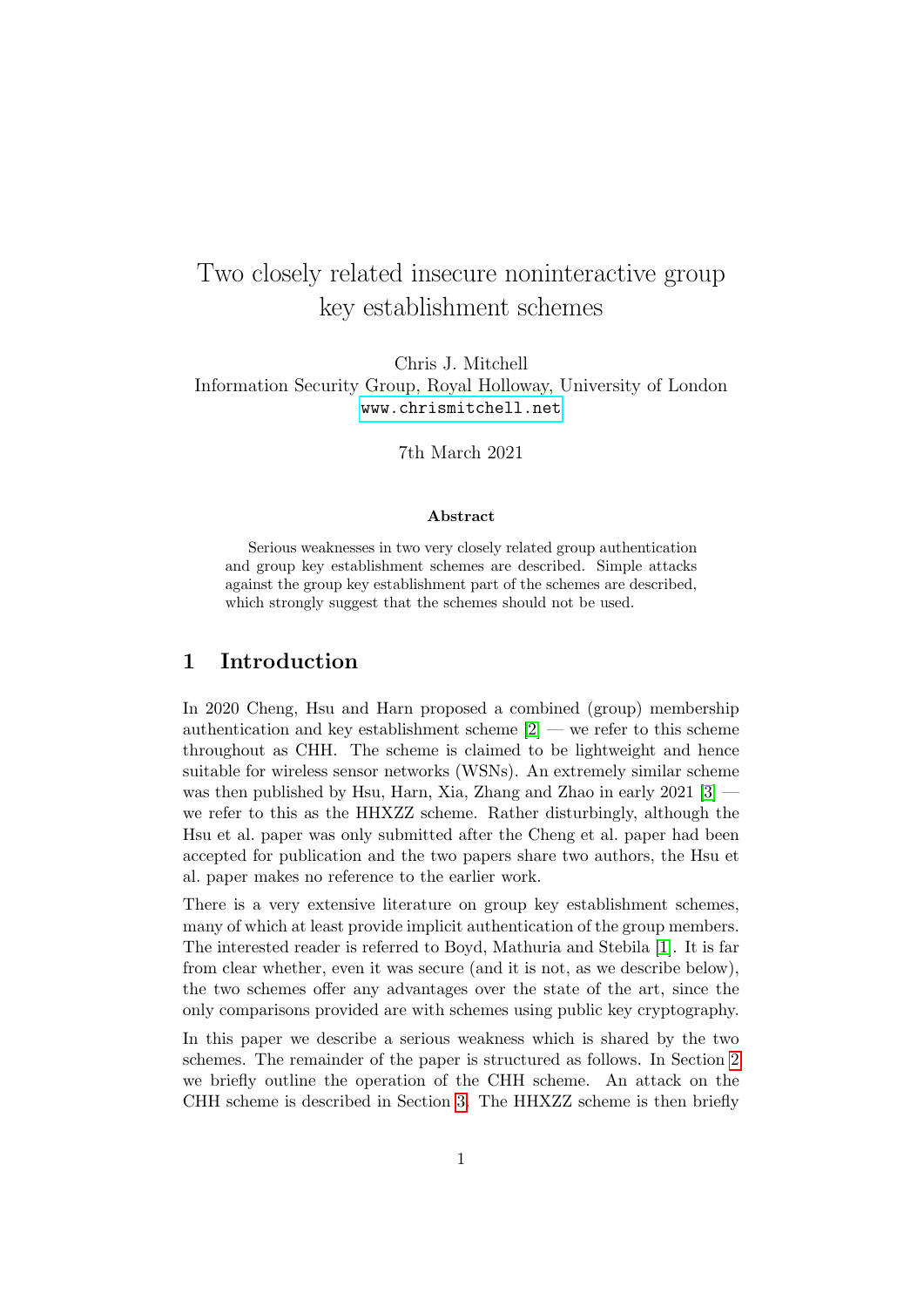# Two closely related insecure noninteractive group key establishment schemes

### Chris J. Mitchell Information Security Group, Royal Holloway, University of London <www.chrismitchell.net>

7th March 2021

#### Abstract

Serious weaknesses in two very closely related group authentication and group key establishment schemes are described. Simple attacks against the group key establishment part of the schemes are described, which strongly suggest that the schemes should not be used.

### 1 Introduction

In 2020 Cheng, Hsu and Harn proposed a combined (group) membership authentication and key establishment scheme  $[2]$  — we refer to this scheme throughout as CHH. The scheme is claimed to be lightweight and hence suitable for wireless sensor networks (WSNs). An extremely similar scheme was then published by Hsu, Harn, Xia, Zhang and Zhao in early 2021 [\[3\]](#page-5-1) we refer to this as the HHXZZ scheme. Rather disturbingly, although the Hsu et al. paper was only submitted after the Cheng et al. paper had been accepted for publication and the two papers share two authors, the Hsu et al. paper makes no reference to the earlier work.

There is a very extensive literature on group key establishment schemes, many of which at least provide implicit authentication of the group members. The interested reader is referred to Boyd, Mathuria and Stebila [\[1\]](#page-5-2). It is far from clear whether, even it was secure (and it is not, as we describe below), the two schemes offer any advantages over the state of the art, since the only comparisons provided are with schemes using public key cryptography.

In this paper we describe a serious weakness which is shared by the two schemes. The remainder of the paper is structured as follows. In Section [2](#page-1-0) we briefly outline the operation of the CHH scheme. An attack on the CHH scheme is described in Section [3.](#page-2-0) The HHXZZ scheme is then briefly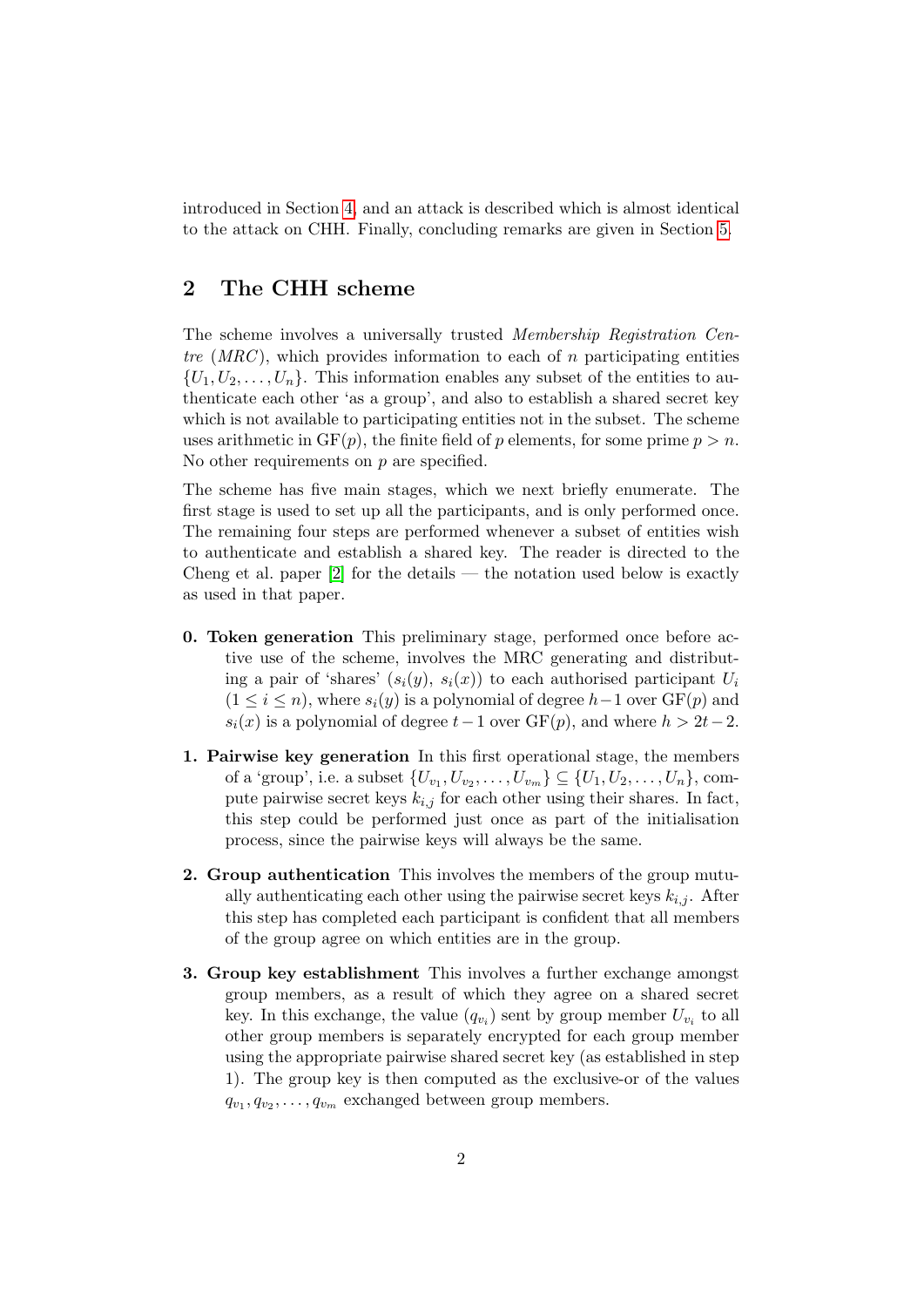introduced in Section [4,](#page-4-0) and an attack is described which is almost identical to the attack on CHH. Finally, concluding remarks are given in Section [5.](#page-5-3)

# <span id="page-1-0"></span>2 The CHH scheme

The scheme involves a universally trusted Membership Registration Centre  $(MRC)$ , which provides information to each of n participating entities  $\{U_1, U_2, \ldots, U_n\}$ . This information enables any subset of the entities to authenticate each other 'as a group', and also to establish a shared secret key which is not available to participating entities not in the subset. The scheme uses arithmetic in  $GF(p)$ , the finite field of p elements, for some prime  $p > n$ . No other requirements on p are specified.

The scheme has five main stages, which we next briefly enumerate. The first stage is used to set up all the participants, and is only performed once. The remaining four steps are performed whenever a subset of entities wish to authenticate and establish a shared key. The reader is directed to the Cheng et al. paper [\[2\]](#page-5-0) for the details — the notation used below is exactly as used in that paper.

- 0. Token generation This preliminary stage, performed once before active use of the scheme, involves the MRC generating and distributing a pair of 'shares'  $(s_i(y), s_i(x))$  to each authorised participant  $U_i$  $(1 \leq i \leq n)$ , where  $s_i(y)$  is a polynomial of degree  $h-1$  over  $GF(p)$  and  $s_i(x)$  is a polynomial of degree  $t-1$  over  $GF(p)$ , and where  $h > 2t-2$ .
- 1. Pairwise key generation In this first operational stage, the members of a 'group', i.e. a subset  $\{U_{v_1}, U_{v_2}, \ldots, U_{v_m}\} \subseteq \{U_1, U_2, \ldots, U_n\}$ , compute pairwise secret keys  $k_{i,j}$  for each other using their shares. In fact, this step could be performed just once as part of the initialisation process, since the pairwise keys will always be the same.
- 2. Group authentication This involves the members of the group mutually authenticating each other using the pairwise secret keys  $k_{i,j}$ . After this step has completed each participant is confident that all members of the group agree on which entities are in the group.
- 3. Group key establishment This involves a further exchange amongst group members, as a result of which they agree on a shared secret key. In this exchange, the value  $(q_{v_i})$  sent by group member  $U_{v_i}$  to all other group members is separately encrypted for each group member using the appropriate pairwise shared secret key (as established in step 1). The group key is then computed as the exclusive-or of the values  $q_{v_1}, q_{v_2}, \ldots, q_{v_m}$  exchanged between group members.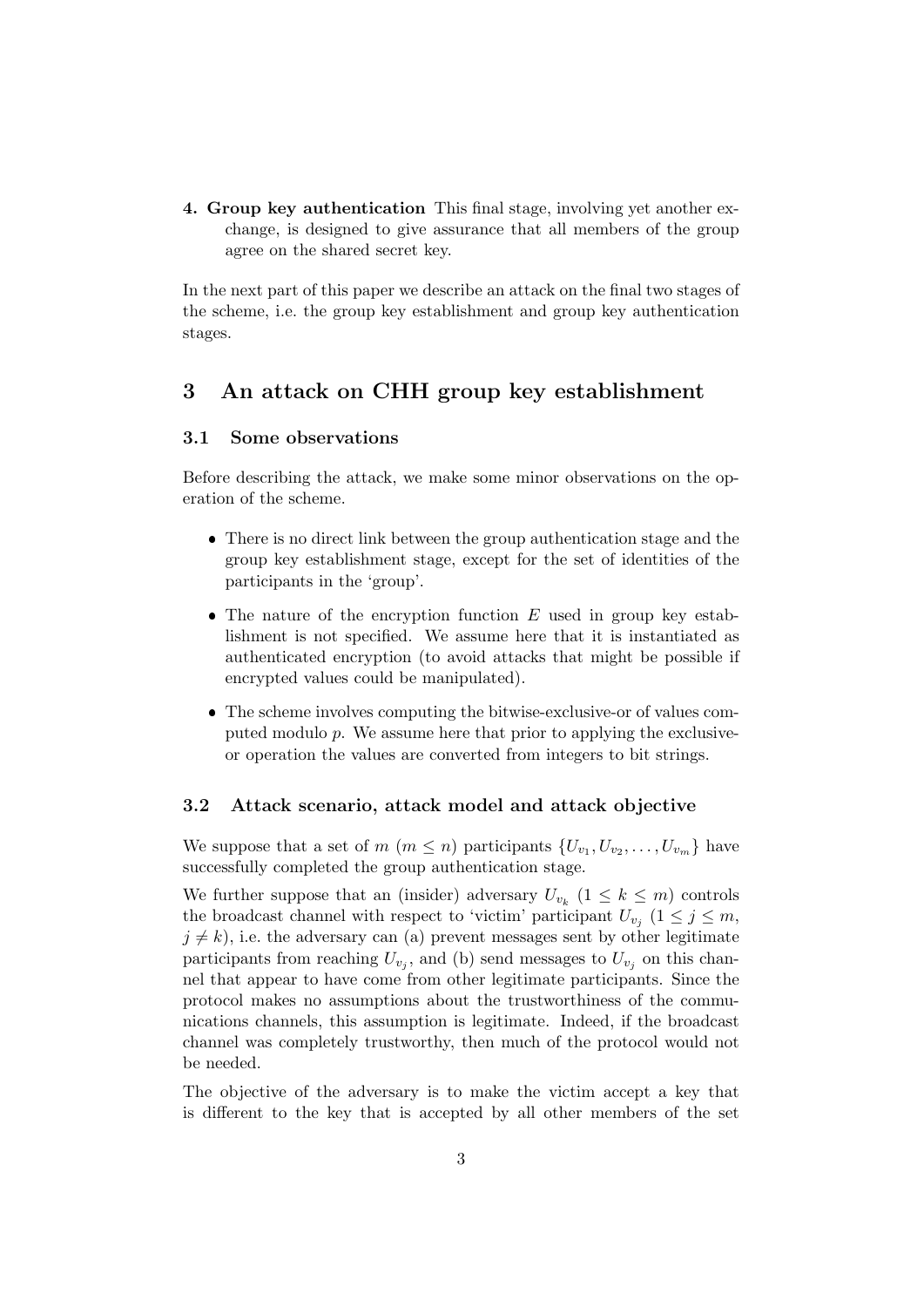4. Group key authentication This final stage, involving yet another exchange, is designed to give assurance that all members of the group agree on the shared secret key.

In the next part of this paper we describe an attack on the final two stages of the scheme, i.e. the group key establishment and group key authentication stages.

### <span id="page-2-0"></span>3 An attack on CHH group key establishment

#### 3.1 Some observations

Before describing the attack, we make some minor observations on the operation of the scheme.

- There is no direct link between the group authentication stage and the group key establishment stage, except for the set of identities of the participants in the 'group'.
- $\bullet$  The nature of the encryption function  $E$  used in group key establishment is not specified. We assume here that it is instantiated as authenticated encryption (to avoid attacks that might be possible if encrypted values could be manipulated).
- The scheme involves computing the bitwise-exclusive-or of values computed modulo p. We assume here that prior to applying the exclusiveor operation the values are converted from integers to bit strings.

#### 3.2 Attack scenario, attack model and attack objective

We suppose that a set of  $m (m \leq n)$  participants  $\{U_{v_1}, U_{v_2}, \ldots, U_{v_m}\}\$  have successfully completed the group authentication stage.

We further suppose that an (insider) adversary  $U_{v_k}$   $(1 \leq k \leq m)$  controls the broadcast channel with respect to 'victim' participant  $U_{v_j}$   $(1 \leq j \leq m,$  $j \neq k$ ), i.e. the adversary can (a) prevent messages sent by other legitimate participants from reaching  $U_{v_j}$ , and (b) send messages to  $U_{v_j}$  on this channel that appear to have come from other legitimate participants. Since the protocol makes no assumptions about the trustworthiness of the communications channels, this assumption is legitimate. Indeed, if the broadcast channel was completely trustworthy, then much of the protocol would not be needed.

The objective of the adversary is to make the victim accept a key that is different to the key that is accepted by all other members of the set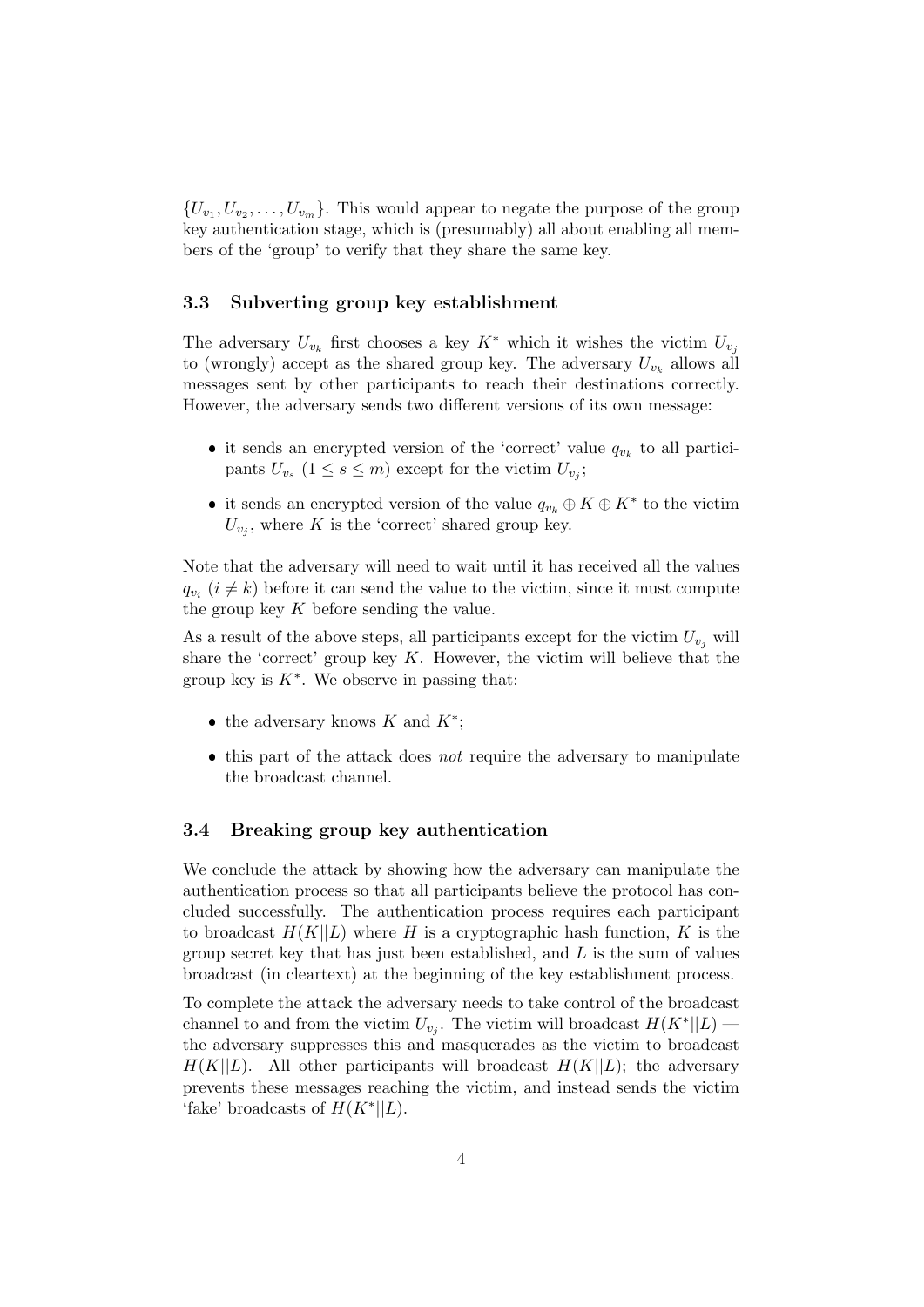${U_{v_1}, U_{v_2}, \ldots, U_{v_m}}$ . This would appear to negate the purpose of the group key authentication stage, which is (presumably) all about enabling all members of the 'group' to verify that they share the same key.

#### 3.3 Subverting group key establishment

The adversary  $U_{v_k}$  first chooses a key  $K^*$  which it wishes the victim  $U_{v_j}$ to (wrongly) accept as the shared group key. The adversary  $U_{v_k}$  allows all messages sent by other participants to reach their destinations correctly. However, the adversary sends two different versions of its own message:

- it sends an encrypted version of the 'correct' value  $q_{v_k}$  to all participants  $U_{v_s}$   $(1 \leq s \leq m)$  except for the victim  $U_{v_j}$ ;
- it sends an encrypted version of the value  $q_{v_k} \oplus K \oplus K^*$  to the victim  $U_{v_j}$ , where K is the 'correct' shared group key.

Note that the adversary will need to wait until it has received all the values  $q_{v_i}$  ( $i \neq k$ ) before it can send the value to the victim, since it must compute the group key  $K$  before sending the value.

As a result of the above steps, all participants except for the victim  $U_{v_i}$  will share the 'correct' group key  $K$ . However, the victim will believe that the group key is  $K^*$ . We observe in passing that:

- the adversary knows  $K$  and  $K^*$ ;
- $\bullet$  this part of the attack does *not* require the adversary to manipulate the broadcast channel.

#### 3.4 Breaking group key authentication

We conclude the attack by showing how the adversary can manipulate the authentication process so that all participants believe the protocol has concluded successfully. The authentication process requires each participant to broadcast  $H(K||L)$  where H is a cryptographic hash function, K is the group secret key that has just been established, and  $L$  is the sum of values broadcast (in cleartext) at the beginning of the key establishment process.

To complete the attack the adversary needs to take control of the broadcast channel to and from the victim  $U_{v_j}$ . The victim will broadcast  $H(K^*||L)$  the adversary suppresses this and masquerades as the victim to broadcast  $H(K||L)$ . All other participants will broadcast  $H(K||L)$ ; the adversary prevents these messages reaching the victim, and instead sends the victim 'fake' broadcasts of  $H(K^*||L)$ .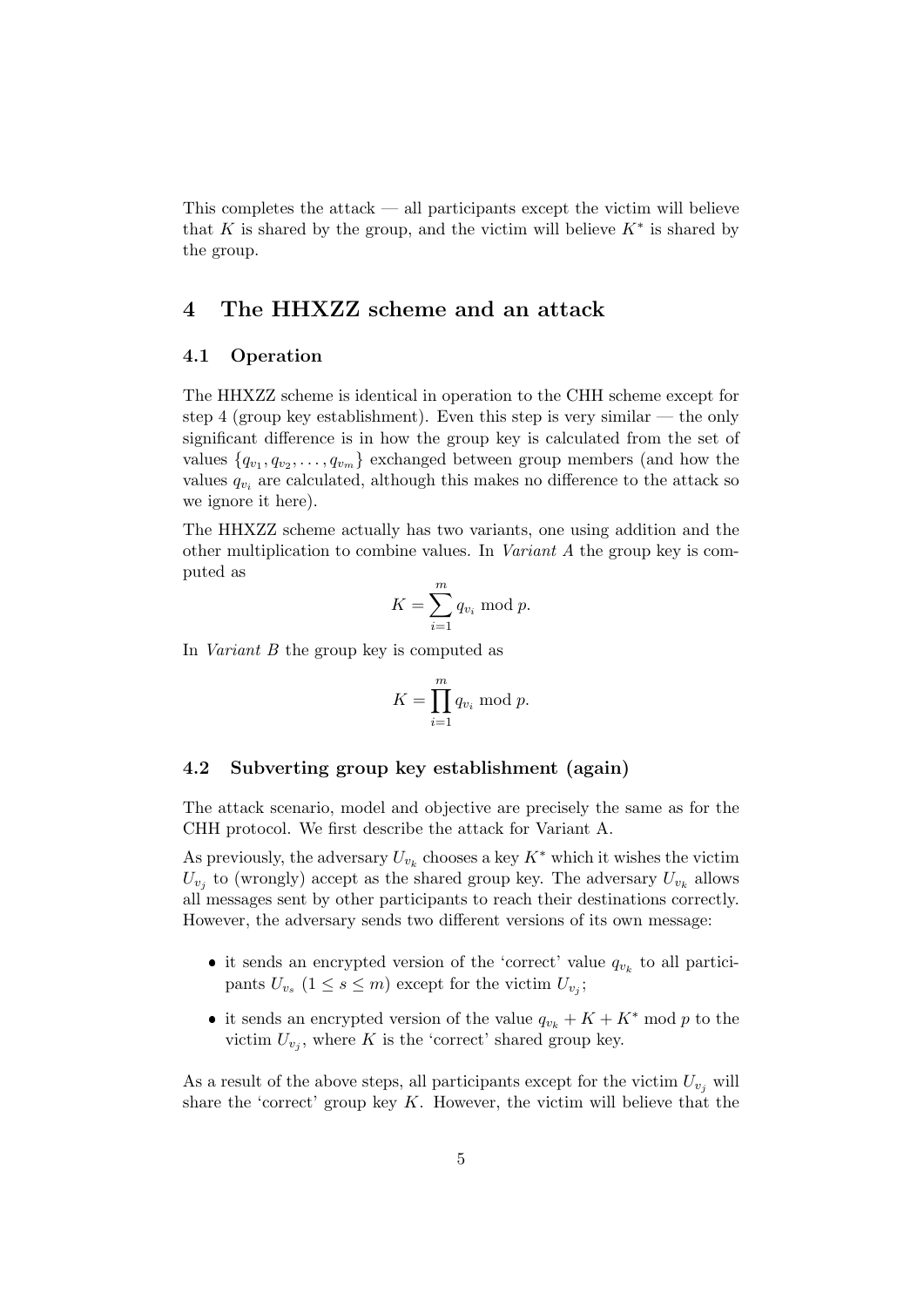This completes the attack — all participants except the victim will believe that K is shared by the group, and the victim will believe  $K^*$  is shared by the group.

## <span id="page-4-0"></span>4 The HHXZZ scheme and an attack

#### 4.1 Operation

The HHXZZ scheme is identical in operation to the CHH scheme except for step 4 (group key establishment). Even this step is very similar — the only significant difference is in how the group key is calculated from the set of values  $\{q_{v_1}, q_{v_2}, \ldots, q_{v_m}\}$  exchanged between group members (and how the values  $q_{v_i}$  are calculated, although this makes no difference to the attack so we ignore it here).

The HHXZZ scheme actually has two variants, one using addition and the other multiplication to combine values. In Variant A the group key is computed as

$$
K = \sum_{i=1}^{m} q_{v_i} \bmod p.
$$

In Variant B the group key is computed as

$$
K = \prod_{i=1}^{m} q_{v_i} \bmod p.
$$

#### 4.2 Subverting group key establishment (again)

The attack scenario, model and objective are precisely the same as for the CHH protocol. We first describe the attack for Variant A.

As previously, the adversary  $U_{v_k}$  chooses a key  $K^*$  which it wishes the victim  $U_{v_j}$  to (wrongly) accept as the shared group key. The adversary  $U_{v_k}$  allows all messages sent by other participants to reach their destinations correctly. However, the adversary sends two different versions of its own message:

- it sends an encrypted version of the 'correct' value  $q_{v_k}$  to all participants  $U_{v_s}$   $(1 \leq s \leq m)$  except for the victim  $U_{v_j}$ ;
- it sends an encrypted version of the value  $q_{v_k} + K + K^*$  mod p to the victim  $U_{v_j}$ , where K is the 'correct' shared group key.

As a result of the above steps, all participants except for the victim  $U_{v_i}$  will share the 'correct' group key  $K$ . However, the victim will believe that the